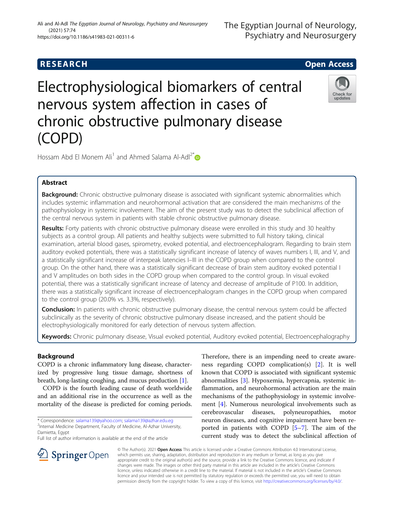# **RESEARCH CHILD CONTROL** CONTROL CONTROL CONTROL CONTROL CONTROL CONTROL CONTROL CONTROL CONTROL CONTROL CONTROL

# Electrophysiological biomarkers of central nervous system affection in cases of chronic obstructive pulmonary disease (COPD)



Hossam Abd El Monem Ali<sup>1</sup> and Ahmed Salama Al-Adl<sup>2[\\*](http://orcid.org/0000-0002-6024-5312)</sup>

# Abstract

Background: Chronic obstructive pulmonary disease is associated with significant systemic abnormalities which includes systemic inflammation and neurohormonal activation that are considered the main mechanisms of the pathophysiology in systemic involvement. The aim of the present study was to detect the subclinical affection of the central nervous system in patients with stable chronic obstructive pulmonary disease.

Results: Forty patients with chronic obstructive pulmonary disease were enrolled in this study and 30 healthy subjects as a control group. All patients and healthy subjects were submitted to full history taking, clinical examination, arterial blood gases, spirometry, evoked potential, and electroencephalogram. Regarding to brain stem auditory evoked potentials, there was a statistically significant increase of latency of waves numbers I, III, and V, and a statistically significant increase of interpeak latencies I–III in the COPD group when compared to the control group. On the other hand, there was a statistically significant decrease of brain stem auditory evoked potential I and V amplitudes on both sides in the COPD group when compared to the control group. In visual evoked potential, there was a statistically significant increase of latency and decrease of amplitude of P100. In addition, there was a statistically significant increase of electroencephalogram changes in the COPD group when compared to the control group (20.0% vs. 3.3%, respectively).

Conclusion: In patients with chronic obstructive pulmonary disease, the central nervous system could be affected subclinically as the severity of chronic obstructive pulmonary disease increased, and the patient should be electrophysiologically monitored for early detection of nervous system affection.

Keywords: Chronic pulmonary disease, Visual evoked potential, Auditory evoked potential, Electroencephalography

# Background

COPD is a chronic inflammatory lung disease, characterized by progressive lung tissue damage, shortness of breath, long-lasting coughing, and mucus production [[1](#page-6-0)].

COPD is the fourth leading cause of death worldwide and an additional rise in the occurrence as well as the mortality of the disease is predicted for coming periods.

\* Correspondence: [salama139@yahoo.com](mailto:salama139@yahoo.com); [salama139@azhar.edu.eg](mailto:salama139@azhar.edu.eg) <sup>2</sup> <sup>2</sup>Internal Medicine Department, Faculty of Medicine, Al-Azhar University, Damietta, Egypt

Full list of author information is available at the end of the article

Therefore, there is an impending need to create awareness regarding COPD complication(s) [[2\]](#page-6-0). It is well known that COPD is associated with significant systemic abnormalities [[3\]](#page-6-0). Hypoxemia, hypercapnia, systemic inflammation, and neurohormonal activation are the main mechanisms of the pathophysiology in systemic involvement [\[4](#page-6-0)]. Numerous neurological involvements such as cerebrovascular diseases, polyneuropathies, motor neuron diseases, and cognitive impairment have been reported in patients with COPD [[5](#page-6-0)–[7\]](#page-6-0). The aim of the current study was to detect the subclinical affection of



© The Author(s). 2021 Open Access This article is licensed under a Creative Commons Attribution 4.0 International License, which permits use, sharing, adaptation, distribution and reproduction in any medium or format, as long as you give appropriate credit to the original author(s) and the source, provide a link to the Creative Commons licence, and indicate if changes were made. The images or other third party material in this article are included in the article's Creative Commons licence, unless indicated otherwise in a credit line to the material. If material is not included in the article's Creative Commons licence and your intended use is not permitted by statutory regulation or exceeds the permitted use, you will need to obtain permission directly from the copyright holder. To view a copy of this licence, visit <http://creativecommons.org/licenses/by/4.0/>.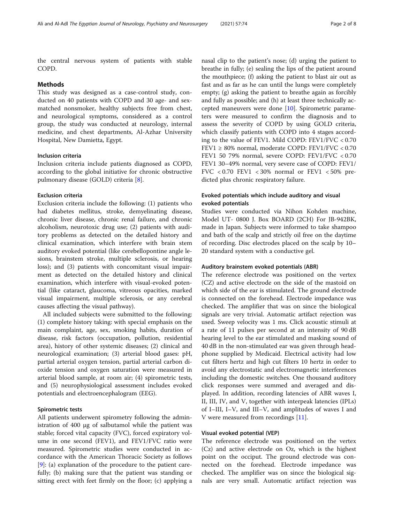the central nervous system of patients with stable COPD.

#### Methods

This study was designed as a case-control study, conducted on 40 patients with COPD and 30 age- and sexmatched nonsmoker, healthy subjects free from chest, and neurological symptoms, considered as a control group, the study was conducted at neurology, internal medicine, and chest departments, Al-Azhar University Hospital, New Damietta, Egypt.

#### Inclusion criteria

Inclusion criteria include patients diagnosed as COPD, according to the global initiative for chronic obstructive pulmonary disease (GOLD) criteria [\[8](#page-6-0)].

#### Exclusion criteria

Exclusion criteria include the following: (1) patients who had diabetes mellitus, stroke, demyelinating disease, chronic liver disease, chronic renal failure, and chronic alcoholism, neurotoxic drug use; (2) patients with auditory problems as detected on the detailed history and clinical examination, which interfere with brain stem auditory evoked potential (like cerebellopontine angle lesions, brainstem stroke, multiple sclerosis, or hearing loss); and (3) patients with concomitant visual impairment as detected on the detailed history and clinical examination, which interfere with visual-evoked potential (like cataract, glaucoma, vitreous opacities, marked visual impairment, multiple sclerosis, or any cerebral causes affecting the visual pathway).

All included subjects were submitted to the following: (1) complete history taking: with special emphasis on the main complaint, age, sex, smoking habits, duration of disease, risk factors (occupation, pollution, residential area), history of other systemic diseases; (2) clinical and neurological examination; (3) arterial blood gases: pH, partial arterial oxygen tension, partial arterial carbon dioxide tension and oxygen saturation were measured in arterial blood sample, at room air; (4) spirometric tests, and (5) neurophysiological assessment includes evoked potentials and electroencephalogram (EEG).

#### Spirometric tests

All patients underwent spirometry following the administration of 400 μg of salbutamol while the patient was stable; forced vital capacity (FVC), forced expiratory volume in one second (FEV1), and FEV1/FVC ratio were measured. Spirometric studies were conducted in accordance with the American Thoracic Society as follows [[9\]](#page-6-0): (a) explanation of the procedure to the patient carefully; (b) making sure that the patient was standing or sitting erect with feet firmly on the floor; (c) applying a

nasal clip to the patient's nose; (d) urging the patient to breathe in fully; (e) sealing the lips of the patient around the mouthpiece; (f) asking the patient to blast air out as fast and as far as he can until the lungs were completely empty; (g) asking the patient to breathe again as forcibly and fully as possible; and (h) at least three technically accepted maneuvers were done [[10\]](#page-6-0). Spirometric parameters were measured to confirm the diagnosis and to assess the severity of COPD by using GOLD criteria, which classify patients with COPD into 4 stages according to the value of FEV1. Mild COPD: FEV1/FVC < 0.70 FEV1 ≥ 80% normal, moderate COPD: FEV1/FVC < 0.70 FEV1 50 79% normal, severe COPD: FEV1/FVC < 0.70 FEV1 30–49% normal, very severe case of COPD: FEV1/ FVC  $< 0.70$  FEV1  $< 30\%$  normal or FEV1  $< 50\%$  predicted plus chronic respiratory failure.

### Evoked potentials which include auditory and visual evoked potentials

Studies were conducted via Nihon Kohden machine, Model UT- 0800 J. Box BOARD (2CH) For JB-942BK, made in Japan. Subjects were informed to take shampoo and bath of the scalp and strictly oil free on the daytime of recording. Disc electrodes placed on the scalp by 10– 20 standard system with a conductive gel.

#### Auditory brainstem evoked potentials (ABR)

The reference electrode was positioned on the vertex (CZ) and active electrode on the side of the mastoid on which side of the ear is stimulated. The ground electrode is connected on the forehead. Electrode impedance was checked. The amplifier that was on since the biological signals are very trivial. Automatic artifact rejection was used. Sweep velocity was 1 ms. Click acoustic stimuli at a rate of 11 pulses per second at an intensity of 90 dB hearing level to the ear stimulated and masking sound of 40 dB in the non-stimulated ear was given through headphone supplied by Medicaid. Electrical activity had low cut filters hertz and high cut filters 10 hertz in order to avoid any electrostatic and electromagnetic interferences including the domestic switches. One thousand auditory click responses were summed and averaged and displayed. In addition, recording latencies of ABR waves I, II, III, IV, and V, together with interpeak latencies (IPLs) of I–III, I–V, and III–V, and amplitudes of waves I and V were measured from recordings [[11\]](#page-6-0).

#### Visual evoked potential (VEP)

The reference electrode was positioned on the vertex (Cz) and active electrode on Oz, which is the highest point on the occiput. The ground electrode was connected on the forehead. Electrode impedance was checked. The amplifier was on since the biological signals are very small. Automatic artifact rejection was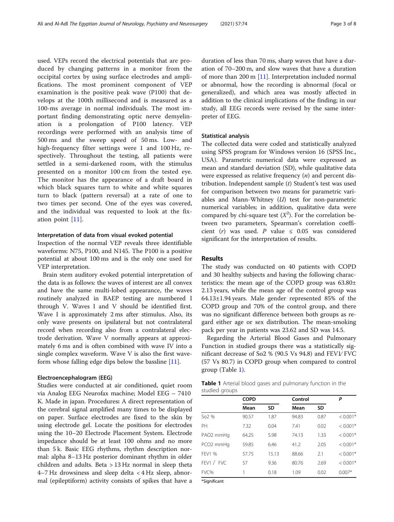used. VEPs record the electrical potentials that are produced by changing patterns in a monitor from the occipital cortex by using surface electrodes and amplifications. The most prominent component of VEP examination is the positive peak wave (P100) that develops at the 100th millisecond and is measured as a 100-ms average in normal individuals. The most important finding demonstrating optic nerve demyelination is a prolongation of P100 latency. VEP recordings were performed with an analysis time of 500 ms and the sweep speed of 50 ms. Low- and high-frequency filter settings were 1 and 100 Hz, respectively. Throughout the testing, all patients were settled in a semi-darkened room, with the stimulus presented on a monitor 100 cm from the tested eye. The monitor has the appearance of a draft board in which black squares turn to white and white squares turn to black (pattern reversal) at a rate of one to two times per second. One of the eyes was covered, and the individual was requested to look at the fixation point [[11\]](#page-6-0).

#### Interpretation of data from visual evoked potential

Inspection of the normal VEP reveals three identifiable waveforms: N75, P100, and N145. The P100 is a positive potential at about 100 ms and is the only one used for VEP interpretation.

Brain stem auditory evoked potential interpretation of the data is as follows: the waves of interest are all convex and have the same multi-lobed appearance, the waves routinely analyzed in BAEP testing are numbered I through V. Waves I and V should be identified first. Wave I is approximately 2 ms after stimulus. Also, its only wave presents on ipsilateral but not contralateral record when recording also from a contralateral electrode derivation. Wave V normally appears at approximately 6 ms and is often combined with wave IV into a single complex waveform. Wave V is also the first waveform whose falling edge dips below the bassline [\[11\]](#page-6-0).

#### Electroencephalogram (EEG)

Studies were conducted at air conditioned, quiet room via Analog EEG Neurofax machine; Model EEG – 7410 K. Made in japan. Procedures: A direct representation of the cerebral signal amplified many times to be displayed on paper. Surface electrodes are fixed to the skin by using electrode gel. Locate the positions for electrodes using the 10–20 Electrode Placement System. Electrode impedance should be at least 100 ohms and no more than 5 k. Basic EEG rhythms, rhythm description normal: alpha 8–13 Hz posterior dominant rhythm in older children and adults. Beta > 13 Hz normal in sleep theta 4–7 Hz drowsiness and sleep delta < 4 Hz sleep, abnormal (epileptiform) activity consists of spikes that have a duration of less than 70 ms, sharp waves that have a duration of 70–200 m, and slow waves that have a duration of more than 200 m [[11\]](#page-6-0). Interpretation included normal or abnormal, how the recording is abnormal (focal or generalized), and which area was mostly affected in addition to the clinical implications of the finding; in our study, all EEG records were revised by the same interpreter of EEG.

#### Statistical analysis

The collected data were coded and statistically analyzed using SPSS program for Windows version 16 (SPSS Inc., USA). Parametric numerical data were expressed as mean and standard deviation (SD), while qualitative data were expressed as relative frequency  $(n)$  and percent distribution. Independent sample (t) Student's test was used for comparison between two means for parametric variables and Mann-Whitney  $(U)$  test for non-parametric numerical variables; in addition, qualitative data were compared by chi-square test  $(X^2)$ . For the correlation between two parameters, Spearman's correlation coefficient (r) was used. P value  $\leq$  0.05 was considered significant for the interpretation of results.

#### Results

The study was conducted on 40 patients with COPD and 30 healthy subjects and having the following characteristics: the mean age of the COPD group was 63.80± 2.13 years, while the mean age of the control group was 64.13±1.94 years. Male gender represented 85% of the COPD group and 70% of the control group, and there was no significant difference between both groups as regard either age or sex distribution. The mean-smoking pack per year in patients was 23.62 and SD was 14.5.

Regarding the Arterial Blood Gases and Pulmonary Function in studied groups there was a statistically significant decrease of So2 % (90.5 Vs 94.8) and FEV1∕ FVC (57 Vs 80.7) in COPD group when compared to control group (Table 1).

Table 1 Arterial blood gases and pulmonary function in the studied groups

|                       | <b>COPD</b> |           | Control |           | Ρ          |
|-----------------------|-------------|-----------|---------|-----------|------------|
|                       | Mean        | <b>SD</b> | Mean    | <b>SD</b> |            |
| So <sub>2</sub> %     | 90.57       | 1.87      | 94.83   | 0.87      | $< 0.001*$ |
| PH                    | 7.32        | 0.04      | 7.41    | 0.02      | $< 0.001*$ |
| PAO2 mmHq             | 64.25       | 5.98      | 74.13   | 1.33      | $< 0.001*$ |
| PCO <sub>2</sub> mmHq | 59.85       | 6.46      | 41.2    | 2.05      | $< 0.001*$ |
| FFV1 %                | 57.75       | 15.13     | 88.66   | 2.1       | $< 0.001*$ |
| FEV1 / FVC            | 57          | 9.36      | 80.76   | 2.69      | $< 0.001*$ |
| FVC%                  | 1           | 0.18      | 1.09    | 0.02      | $0.007*$   |
| $ - $                 |             |           |         |           |            |

\*Significant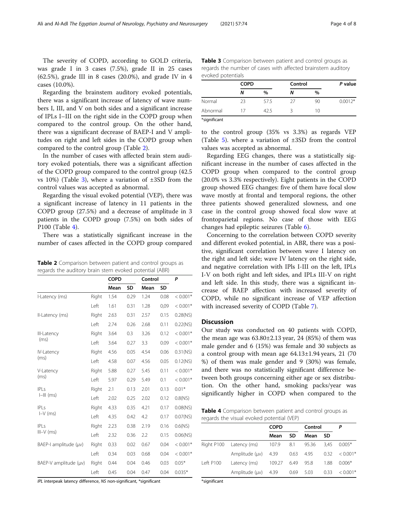The severity of COPD, according to GOLD criteria, was grade I in 3 cases (7.5%), grade II in 25 cases (62.5%), grade III in 8 cases (20.0%), and grade IV in 4 cases (10.0%).

Regarding the brainstem auditory evoked potentials, there was a significant increase of latency of wave numbers I, III, and V on both sides and a significant increase of IPLs I–III on the right side in the COPD group when compared to the control group. On the other hand, there was a significant decrease of BAEP-I and V amplitudes on right and left sides in the COPD group when compared to the control group (Table 2).

In the number of cases with affected brain stem auditory evoked potentials, there was a significant affection of the COPD group compared to the control group (42.5 vs  $10\%$ ) (Table 3), where a variation of  $\pm 3SD$  from the control values was accepted as abnormal.

Regarding the visual evoked potential (VEP), there was a significant increase of latency in 11 patients in the COPD group (27.5%) and a decrease of amplitude in 3 patients in the COPD group (7.5%) on both sides of P100 (Table 4).

There was a statistically significant increase in the number of cases affected in the COPD group compared

Table 2 Comparison between patient and control groups as regards the auditory brain stem evoked potential (ABR)

|                       |       | <b>COPD</b> |           | Control |           | P           |
|-----------------------|-------|-------------|-----------|---------|-----------|-------------|
|                       |       | Mean        | <b>SD</b> | Mean    | <b>SD</b> |             |
| I-Latency (ms)        | Right | 1.54        | 0.29      | 1.24    | 0.08      | $< 0.001*$  |
|                       | Left  | 1.61        | 0.31      | 1.28    | 0,09      | $< 0.001*$  |
| Il-Latency (ms)       | Right | 2.63        | 0.31      | 2.57    | 0.15      | $0.28$ (NS) |
|                       | Left  | 2.74        | 0.26      | 2.68    | 0.11      | 0.22(NS)    |
| III-Latency           | Right | 3.64        | 0.3       | 3.26    | 0.12      | $< 0.001*$  |
| (ms)                  | l eft | 3.64        | 0.27      | 3.3     | 0.09      | $< 0.001*$  |
| <b>IV-Latency</b>     | Right | 4.56        | 0.05      | 4.54    | 0.06      | $0.31$ (NS) |
| (ms)                  | Left  | 4.58        | 0.07      | 4.56    | 0.05      | $0.12$ (NS) |
| V-Latency             | Right | 5.88        | 0.27      | 5.45    | 0.11      | $< 0.001*$  |
| (ms)                  | Left  | 5.97        | 0.29      | 5.49    | 0.1       | $< 0.001*$  |
| IPLs                  | Right | 2.1         | 0.13      | 2.01    | 0.13      | $0.01*$     |
| $I=III$ (ms)          | Left  | 2.02        | 0.25      | 2.02    | 0.12      | 0.8(NS)     |
| P S                   | Right | 4.33        | 0.35      | 4.21    | 0.17      | $0.08$ (NS) |
| $I-V$ (ms)            | Left  | 4.35        | 0.42      | 4.2     | 0.17      | $0.07$ (NS) |
| IPLs                  | Right | 2.23        | 0.38      | 2.19    | 0.16      | 0.6(NS)     |
| $III-V$ (ms)          | Left  | 2.32        | 0.36      | 2.2     | 0.15      | $0.06$ (NS) |
| BAEP-I amplitude (µv) | Right | 0.33        | 0.02      | 0.67    | 0.04      | $< 0.001*$  |
|                       | Left  | 0.34        | 0.03      | 0.68    | 0.04      | $< 0.001*$  |
| BAEP-V amplitude (µv) | Right | 0.44        | 0.04      | 0.46    | 0.03      | $0.05*$     |
|                       | Left  | 0.45        | 0.04      | 0.47    | 0.04      | $0.035*$    |

IPL interpeak latency difference, NS non-significant, \*significant

Table 3 Comparison between patient and control groups as regards the number of cases with affected brainstem auditory evoked potentials

|              | <b>COPD</b> |               | Control | P value |           |
|--------------|-------------|---------------|---------|---------|-----------|
|              | Ν           | $\frac{0}{0}$ | Ν       | $\%$    |           |
| Normal       | 23          | 57.5          | -27     | 90      | $0.0012*$ |
| Abnormal     | 17          | 42.5          |         | 10      |           |
| *significant |             |               |         |         |           |

to the control group (35% vs 3.3%) as regards VEP (Table [5](#page-4-0)). where a variation of ±3SD from the control values was accepted as abnormal.

Regarding EEG changes, there was a statistically significant increase in the number of cases affected in the COPD group when compared to the control group (20.0% vs 3.3% respectively). Eight patients in the COPD group showed EEG changes: five of them have focal slow wave mostly at frontal and temporal regions, the other three patients showed generalized slowness, and one case in the control group showed focal slow wave at frontoparietal regions. No case of those with EEG changes had epileptic seizures (Table [6\)](#page-4-0).

Concerning to the correlation between COPD severity and different evoked potential, in ABR, there was a positive, significant correlation between wave I latency on the right and left side; wave IV latency on the right side, and negative correlation with IPls I-III on the left, IPLs I-V on both right and left sides, and IPLs III-V on right and left side. In this study, there was a significant increase of BAEP affection with increased severity of COPD, while no significant increase of VEP affection with increased severity of COPD (Table [7](#page-4-0)).

#### **Discussion**

Our study was conducted on 40 patients with COPD, the mean age was  $63.80\pm2.13$  year, 24 (85%) of them was male gender and 6 (15%) was female and 30 subjects as a control group with mean age 64.13±1.94 years, 21 (70 %) of them was male gender and 9 (30%) was female, and there was no statistically significant difference between both groups concerning either age or sex distribution. On the other hand, smoking packs/year was significantly higher in COPD when compared to the

Table 4 Comparison between patient and control groups as regards the visual evoked potential (VEP)

|            |                | <b>COPD</b> |      | Control |      |            |  |
|------------|----------------|-------------|------|---------|------|------------|--|
|            |                | Mean        | SD   | Mean    | SD   |            |  |
| Right P100 | Latency (ms)   | 107.9       | 8.1  | 95.36   | 3.45 | $0.005*$   |  |
|            | Amplitude (uv) | 4.39        | 0.63 | 4.95    | 0.32 | $< 0.001*$ |  |
| Left P100  | Latency (ms)   | 109.27      | 6.49 | 95.8    | 1.88 | $0.006*$   |  |
|            | Amplitude (uv) | - 4.39      | 0.69 | 5.03    | 0.33 | $< 0.001*$ |  |

\*significant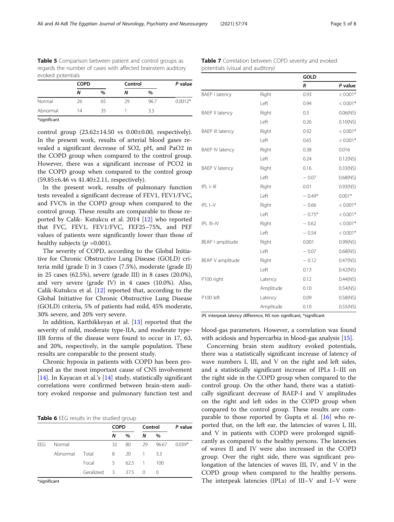<span id="page-4-0"></span>Table 5 Comparison between patient and control groups as regards the number of cases with affected brainstem auditory evoked potentials

|          | <b>COPD</b> |               | Control |      | P value   |
|----------|-------------|---------------|---------|------|-----------|
|          | N           | $\frac{0}{0}$ |         | $\%$ |           |
| Normal   | 26          | 65            | 29      | 96.7 | $0.0012*$ |
| Abnormal | 14          | 35            |         | 3.3  |           |
|          |             |               |         |      |           |

\*significant

control group  $(23.62\pm14.50 \text{ vs } 0.00\pm0.00, \text{ respectively}).$ In the present work, results of arterial blood gases revealed a significant decrease of SO2, pH, and PaO2 in the COPD group when compared to the control group. However, there was a significant increase of PCO2 in the COPD group when compared to the control group (59.85±6.46 vs 41.40±2.11, respectively).

In the present work, results of pulmonary function tests revealed a significant decrease of FEV1, FEV1/FVC, and FVC% in the COPD group when compared to the control group. These results are comparable to those reported by Calik- Kutukcu et al. 2014 [[12\]](#page-6-0) who reported that FVC, FEV1, FEV1/FVC, FEF25–75%, and PEF values of patients were significantly lower than those of healthy subjects ( $p = 0.001$ ).

The severity of COPD, according to the Global Initiative for Chronic Obstructive Lung Disease (GOLD) criteria mild (grade I) in 3 cases (7.5%), moderate (grade II) in 25 cases (62.5%), severe (grade III) in 8 cases (20.0%), and very severe (grade IV) in 4 cases (10.0%). Also, Calik-Kutukcu et al. [\[12](#page-6-0)] reported that, according to the Global Initiative for Chronic Obstructive Lung Disease (GOLD) criteria, 5% of patients had mild, 45% moderate, 30% severe, and 20% very severe.

In addition, Karthikkeyan et al. [\[13](#page-6-0)] reported that the severity of mild, moderate type-IIA, and moderate type-IIB forms of the disease were found to occur in 17, 63, and 20%, respectively, in the sample population. These results are comparable to the present study.

Chronic hypoxia in patients with COPD has been proposed as the most important cause of CNS involvement [[14\]](#page-6-0). In Kayacan et al.'s [14] study, statistically significant correlations were confirmed between brain-stem auditory evoked response and pulmonary function test and

Table 6 FFG results in the studied group

|            |          |              | <b>COPD</b> |                | Control        |       | P value  |
|------------|----------|--------------|-------------|----------------|----------------|-------|----------|
|            |          |              | N           | $\%$           | N              | $\%$  |          |
| <b>FFG</b> | Normal   |              | 32          | 80             | 29             | 96.67 | $0.039*$ |
|            | Abnormal | Total        | 8           | 20             | -1.            | 33    |          |
|            |          | Focal        | 5.          | $62.5 \quad 1$ |                | 100   |          |
|            |          | Geralizied 3 |             | 37.5           | $\overline{0}$ | 0     |          |

\*significant

| <b>Table 7</b> Correlation between COPD severity and evoked |
|-------------------------------------------------------------|
| potentials (visual and auditory)                            |

|                         |           | <b>GOLD</b> |             |
|-------------------------|-----------|-------------|-------------|
|                         |           | R           | P value     |
| <b>BAEP I latency</b>   | Right     | 0.93        | $< 0.001*$  |
|                         | Left      | 0.94        | $< 0.001*$  |
| <b>BAEP II latency</b>  | Right     | 0.3         | $0.06$ (NS) |
|                         | Left      | 0.26        | 0.10(NS)    |
| <b>BAEP III latency</b> | Right     | 0.92        | $< 0.001*$  |
|                         | Left      | 0.65        | $< 0.001*$  |
| <b>BAEP IV latency</b>  | Right     | 0.38        | 0.016       |
|                         | Left      | 0.24        | $0.12$ (NS) |
| <b>BAEP V latency</b>   | Right     | 0.16        | 0.33(NS)    |
|                         | Left      | $-0.07$     | $0.68$ (NS) |
| $ PL  -    $            | Right     | 0.01        | $0.93$ (NS) |
|                         | Left      | $-0.49*$    | $0.001*$    |
| $IPLI-V$                | Right     | $-0.66$     | $< 0.001*$  |
|                         | Left      | $-0.75*$    | $< 0.001*$  |
| IPL III-IV              | Right     | $-0.62$     | $< 0.001*$  |
|                         | Left      | $-0.54$     | $< 0.001*$  |
| BEAP I amplitude        | Right     | 0.001       | 0.99(NS)    |
|                         | Left      | $-0.07$     | $0.68$ (NS) |
| BEAP V amplitude        | Right     | $-0.12$     | $0.47$ (NS) |
|                         | Left      | 0.13        | $0.42$ (NS) |
| P100 right              | Latency   | 0.12        | $0.44$ (NS) |
|                         | Amplitude | 0.10        | $0.54$ (NS) |
| P100 left               | Latency   | 0.09        | $0.58$ (NS) |
|                         | Amplitude | 0.10        | 0.55(NS)    |

IPL interpeak latency difference, NS non significant, \*significant

blood-gas parameters. However, a correlation was found with acidosis and hypercarbia in blood-gas analysis [[15](#page-6-0)].

Concerning brain stem auditory evoked potentials, there was a statistically significant increase of latency of wave numbers I, III, and V on the right and left sides, and a statistically significant increase of IPLs I–III on the right side in the COPD group when compared to the control group. On the other hand, there was a statistically significant decrease of BAEP-I and V amplitudes on the right and left sides in the COPD group when compared to the control group. These results are comparable to those reported by Gupta et al.  $[16]$  who reported that, on the left ear, the latencies of waves I, III, and V in patients with COPD were prolonged significantly as compared to the healthy persons. The latencies of waves II and IV were also increased in the COPD group. Over the right side, there was significant prolongation of the latencies of waves III, IV, and V in the COPD group when compared to the healthy persons. The interpeak latencies (IPLs) of III–V and I–V were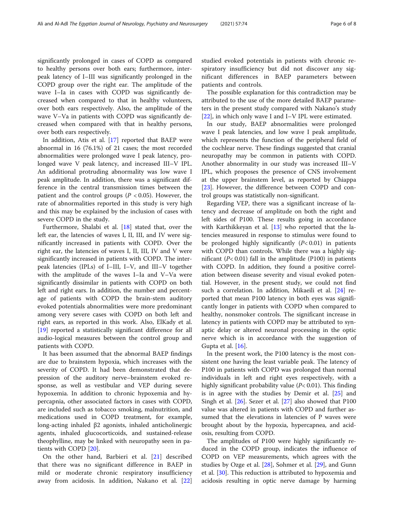significantly prolonged in cases of COPD as compared to healthy persons over both ears; furthermore, interpeak latency of I–III was significantly prolonged in the COPD group over the right ear. The amplitude of the wave I–Ia in cases with COPD was significantly decreased when compared to that in healthy volunteers, over both ears respectively. Also, the amplitude of the wave V–Va in patients with COPD was significantly decreased when compared with that in healthy persons, over both ears respectively.

In addition, Atis et al. [[17](#page-6-0)] reported that BAEP were abnormal in 16 (76.1%) of 21 cases; the most recorded abnormalities were prolonged wave I peak latency, prolonged wave V peak latency, and increased III–V IPL. An additional protruding abnormality was low wave I peak amplitude. In addition, there was a significant difference in the central transmission times between the patient and the control groups ( $P < 0.05$ ). However, the rate of abnormalities reported in this study is very high and this may be explained by the inclusion of cases with severe COPD in the study.

Furthermore, Shalabi et al. [\[18](#page-6-0)] stated that, over the left ear, the latencies of waves I, II, III, and IV were significantly increased in patients with COPD. Over the right ear, the latencies of waves I, II, III, IV and V were significantly increased in patients with COPD. The interpeak latencies (IPLs) of I–III, I–V, and III–V together with the amplitude of the waves I–Ia and V–Va were significantly dissimilar in patients with COPD on both left and right ears. In addition, the number and percentage of patients with COPD the brain-stem auditory evoked potentials abnormalities were more predominant among very severe cases with COPD on both left and right ears, as reported in this work. Also, ElKady et al. [[19\]](#page-7-0) reported a statistically significant difference for all audio-logical measures between the control group and patients with COPD.

It has been assumed that the abnormal BAEP findings are due to brainstem hypoxia, which increases with the severity of COPD. It had been demonstrated that depression of the auditory nerve–brainstem evoked response, as well as vestibular and VEP during severe hypoxemia. In addition to chronic hypoxemia and hypercapnia, other associated factors in cases with COPD, are included such as tobacco smoking, malnutrition, and medications used in COPD treatment, for example, long-acting inhaled β2 agonists, inhaled anticholinergic agents, inhaled glucocorticoids, and sustained-release theophylline, may be linked with neuropathy seen in patients with COPD [\[20\]](#page-7-0).

On the other hand, Barbieri et al. [[21\]](#page-7-0) described that there was no significant difference in BAEP in mild or moderate chronic respiratory insufficiency away from acidosis. In addition, Nakano et al. [\[22](#page-7-0)] studied evoked potentials in patients with chronic respiratory insufficiency but did not discover any significant differences in BAEP parameters between patients and controls.

The possible explanation for this contradiction may be attributed to the use of the more detailed BAEP parameters in the present study compared with Nakano's study [[22\]](#page-7-0), in which only wave I and I–V IPL were estimated.

In our study, BAEP abnormalities were prolonged wave I peak latencies, and low wave I peak amplitude, which represents the function of the peripheral field of the cochlear nerve. These findings suggested that cranial neuropathy may be common in patients with COPD. Another abnormality in our study was increased III–V IPL, which proposes the presence of CNS involvement at the upper brainstem level, as reported by Chiappa [[23\]](#page-7-0). However, the difference between COPD and control groups was statistically non-significant.

Regarding VEP, there was a significant increase of latency and decrease of amplitude on both the right and left sides of P100. These results going in accordance with Karthikkeyan et al. [\[13\]](#page-6-0) who reported that the latencies measured in response to stimulus were found to be prolonged highly significantly  $(P< 0.01)$  in patients with COPD than controls. While there was a highly significant ( $P < 0.01$ ) fall in the amplitude (P100) in patients with COPD. In addition, they found a positive correlation between disease severity and visual evoked potential. However, in the present study, we could not find such a correlation. In addition, Mikaeili et al. [\[24](#page-7-0)] reported that mean P100 latency in both eyes was significantly longer in patients with COPD when compared to healthy, nonsmoker controls. The significant increase in latency in patients with COPD may be attributed to synaptic delay or altered neuronal processing in the optic nerve which is in accordance with the suggestion of Gupta et al.  $[16]$  $[16]$ .

In the present work, the P100 latency is the most consistent one having the least variable peak. The latency of P100 in patients with COPD was prolonged than normal individuals in left and right eyes respectively, with a highly significant probability value  $(P< 0.01)$ . This finding is in agree with the studies by Demir et al. [\[25](#page-7-0)] and Singh et al. [\[26\]](#page-7-0). Sezer et al. [[27\]](#page-7-0) also showed that P100 value was altered in patients with COPD and further assumed that the elevations in latencies of P waves were brought about by the hypoxia, hypercapnea, and acidosis, resulting from COPD.

The amplitudes of P100 were highly significantly reduced in the COPD group, indicates the influence of COPD on VEP measurements, which agrees with the studies by Ozge et al. [\[28](#page-7-0)], Sohmer et al. [[29](#page-7-0)], and Gunn et al. [[30](#page-7-0)]. This reduction is attributed to hypoxemia and acidosis resulting in optic nerve damage by harming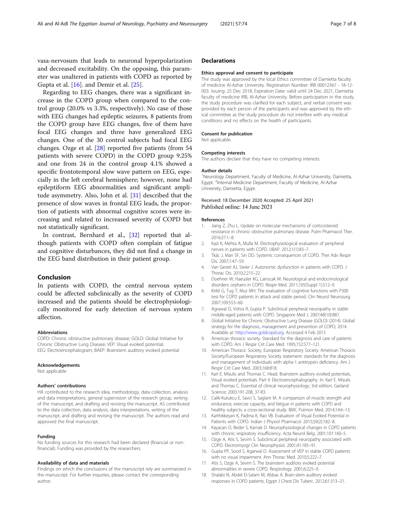<span id="page-6-0"></span>vasa-nervosum that leads to neuronal hyperpolarization and decreased excitability. On the opposing, this parameter was unaltered in patients with COPD as reported by Gupta et al. [16]. and Demir et al. [\[25](#page-7-0)].

Regarding to EEG changes, there was a significant increase in the COPD group when compared to the control group (20.0% vs 3.3%, respectively). No case of those with EEG changes had epileptic seizures, 8 patients from the COPD group have EEG changes, five of them have focal EEG changes and three have generalized EEG changes. One of the 30 control subjects had focal EEG changes. Ozge et al. [\[28\]](#page-7-0) reported five patients (from 54 patients with severe COPD) in the COPD group 9.25% and one from 24 in the control group 4.1% showed a specific frontotemporal slow wave pattern on EEG, especially in the left cerebral hemisphere; however, none had epileptiform EEG abnormalities and significant amplitude asymmetry. Also, John et al. [\[31\]](#page-7-0) described that the presence of slow waves in frontal EEG leads, the proportion of patients with abnormal cognitive scores were increasing and related to increased severity of COPD but not statistically significant.

In contrast, Bernhard et al., [\[32](#page-7-0)] reported that although patients with COPD often complain of fatigue and cognitive disturbances, they did not find a change in the EEG band distribution in their patient group.

#### Conclusion

In patients with COPD, the central nervous system could be affected subclinically as the severity of COPD increased and the patients should be electrophysiologically monitored for early detection of nervous system affection.

#### Abbreviations

COPD: Chronic obstructive pulmonary disease; GOLD: Global Initiative for Chronic Obstructive Lung Disease; VEP: Visual evoked potential; EEG: Electroencephalogram; BAEP: Brainstem auditory evoked potential

#### Acknowledgements

Not applicable

#### Authors' contributions

HA contributed to the research idea, methodology, data collection, analysis and data interpretations, general supervision of the research group, writing of the manuscript, and drafting and revising the manuscript. AS contributed to the data collection, data analysis, data interpretations, writing of the manuscript, and drafting and revising the manuscript. The authors read and approved the final manuscript.

#### Funding

No funding sources for this research had been declared (financial or nonfinancial). Funding was provided by the researchers.

#### Availability of data and materials

Findings on which the conclusions of the manuscript rely are summarized in the manuscript. For further inquiries, please contact the corresponding author.

#### **Declarations**

#### Ethics approval and consent to participate

The study was approved by the local Ethics committee of Damietta faculty of medicine Al-Azhar University. Registration Number: IRB 00012367 - 18-12- 003. Issuing: 25 Dec 2018, Expiration Date: valid until 24 Dec 2021, Damietta faculty of medicine IRB, Al-Azhar University. Before participation in the study, the study procedure was clarified for each subject, and verbal consent was provided by each person of the participants and was approved by the ethical committee as the study procedure do not interfere with any medical conditions and no effects on the health of participants.

#### Consent for publication

Not applicable.

#### Competing interests

The authors declare that they have no competing interests.

#### Author details

<sup>1</sup>Neurology Department, Faculty of Medicine, Al-Azhar University, Damietta, Egypt. <sup>2</sup>Internal Medicine Department, Faculty of Medicine, Al-Azhar University, Damietta, Egypt.

#### Received: 18 December 2020 Accepted: 25 April 2021 Published online: 14 June 2021

#### References

- 1. Jiang Z, Zhu L. Update on molecular mechanisms of corticosteroid resistance in chronic obstructive pulmonary disease. Pulm Pharmacol Ther. 2016;37:1–8.
- 2. Kazi K, Mehta A, Mulla M. Electrophysiological evaluation of peripheral nerves in patients with COPD. IJBAP. 2012;1(1):83–7.
- 3. Tkác J, Man SF, Sin DD. Systemic consequences of COPD. Ther Adv Respir Dis. 2007;1:47–59.
- 4. Van Gestel AJ, Steier J. Autonomic dysfunction in patients with COPD. J Thorac Dis. 2010;2:215–22.
- 5. Doehner W, Haeusler KG, Lainscak M. Neurological and endocrinological disorders: orphans in COPD. Respir Med. 2011;105(Suppl 1):S12–9.
- 6. Kirkil G, Tug T, Muz MH. The evaluation of cognitive functions with P300 test for COPD patients in attack and stable period. Clin Neurol Neurosurg. 2007;109:553–60.
- 7. Agrawal D, Vohra R, Gupta P. Subclinical peripheral neuropathy in stable middle-aged patients with COPD. Singapore Med J. 2007;48(10):887.
- 8. Global Initiative for Chronic Obstructive Lung Disease (GOLD) (2014): Global strategy for the diagnosis, management and prevention of COPD; 2014. Available at: <http://www.goldcopd.org>. Accessed 4 Feb 2015
- 9. American thoracic society. Standard for the diagnosis and care of patients with COPD. Am J Respir Crit Care Med. 1995;152:S77–121.
- 10. American Thoracic Society, European Respiratory Society. American Thoracic Society/European Respiratory Society statement: standards for the diagnosis and management of individuals with alpha-1 antitrypsin deficiency. Am J Respir Crit Care Med. 2003;168:818.
- 11. Karl E. Misulis and Thomas C. Head. Brainstem auditory evoked potentials, Visual evoked potentials. Part II: Electroencephalography. In: Karl E. Misulis and Thomas C. Essential of clinical neurophysiology; 3rd edition. Garland Science; 2003.191-208, 37-83.
- 12. Calik-Kutukcu E, Savci S, Saglam M. A comparison of muscle strength and endurance, exercise capacity, and fatigue in patients with COPD and healthy subjects: a cross-sectional study. BMC Pulmon Med. 2014;14:6–13.
- 13. Karthikkeyan K, Padma K, Rao VB. Evaluation of Visual Evoked Potential in Patients with COPD. Indian J Physiol Pharmacol. 2015;59(2):182–8.
- 14. Kayacan O, Beder S, Karnak D. Neurophysiological changes in COPD patients with chronic respiratory insufficiency. Acta Neurol Belg. 2001;101:160–5.
- 15. Ozge A, Atis S, Sevim S. Subclinical peripheral neuropathy associated with COPD. Electromyogr Clin Neurophysiol. 2001;41:185–91.
- 16. Gupta PP, Sood S, Agarwal D. Assessment of VEP in stable COPD patients with no visual impairment. Ann Thorac Med. 2010;5:222–7.
- 17. Atis S, Ozge A, Sevim S. The brainstem auditory evoked potential abnormalities in severe COPD. Respirology. 2001;6:225–9.
- 18. Shalabi N, Abdel El-Salam M, Abbas A. Brain-stem auditory evoked responses in COPD patients. Egypt J Chest Dis Tuberc. 2012;61:313–21.